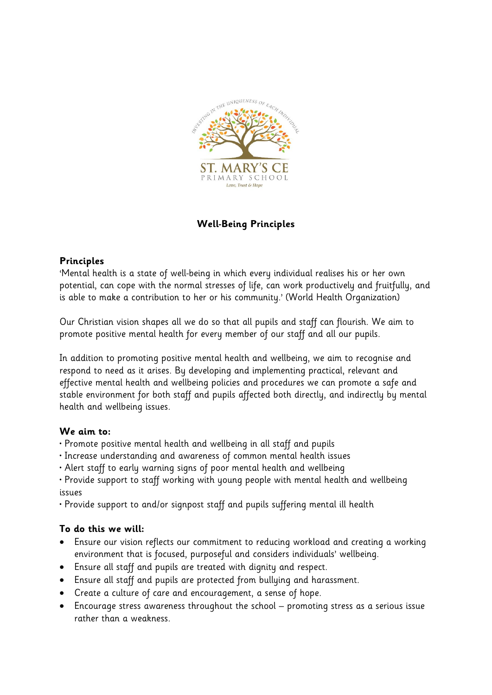

## **Well-Being Principles**

## **Principles**

'Mental health is a state of well-being in which every individual realises his or her own potential, can cope with the normal stresses of life, can work productively and fruitfully, and is able to make a contribution to her or his community.' (World Health Organization)

Our Christian vision shapes all we do so that all pupils and staff can flourish. We aim to promote positive mental health for every member of our staff and all our pupils.

In addition to promoting positive mental health and wellbeing, we aim to recognise and respond to need as it arises. By developing and implementing practical, relevant and effective mental health and wellbeing policies and procedures we can promote a safe and stable environment for both staff and pupils affected both directly, and indirectly by mental health and wellbeing issues.

## **We aim to:**

- Promote positive mental health and wellbeing in all staff and pupils
- Increase understanding and awareness of common mental health issues
- Alert staff to early warning signs of poor mental health and wellbeing

• Provide support to staff working with young people with mental health and wellbeing issues

• Provide support to and/or signpost staff and pupils suffering mental ill health

## **To do this we will:**

- Ensure our vision reflects our commitment to reducing workload and creating a working environment that is focused, purposeful and considers individuals' wellbeing.
- Ensure all staff and pupils are treated with dignity and respect.
- Ensure all staff and pupils are protected from bullying and harassment.
- Create a culture of care and encouragement, a sense of hope.
- Encourage stress awareness throughout the school promoting stress as a serious issue rather than a weakness.